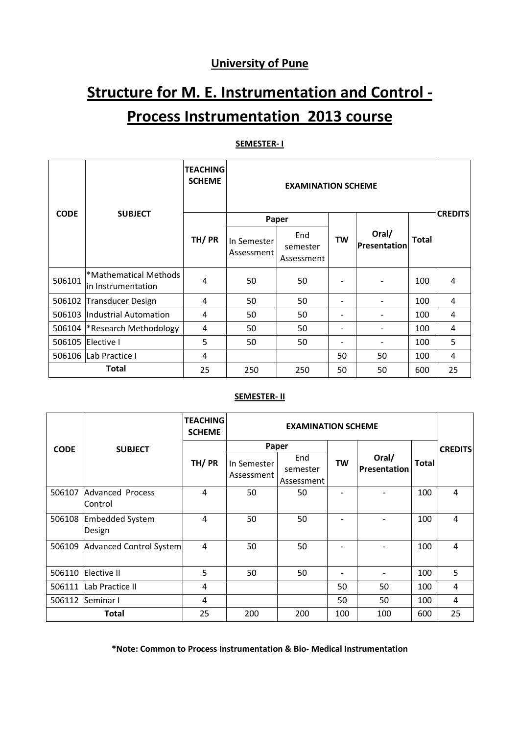# **University of Pune**

# **Structure for M. E. Instrumentation and Control - Process Instrumentation 2013 course**

# **SEMESTER- I**

|             |                                             | <b>TEACHING</b><br><b>SCHEME</b> |                           | <b>EXAMINATION SCHEME</b>     |                          |                       |       |                |
|-------------|---------------------------------------------|----------------------------------|---------------------------|-------------------------------|--------------------------|-----------------------|-------|----------------|
| <b>CODE</b> | <b>SUBJECT</b>                              |                                  | Paper                     |                               |                          |                       |       | <b>CREDITS</b> |
|             |                                             | TH/PR                            | In Semester<br>Assessment | End<br>semester<br>Assessment | TW                       | Oral/<br>Presentation | Total |                |
| 506101      | *Mathematical Methods<br>in Instrumentation | 4                                | 50                        | 50                            |                          |                       | 100   | 4              |
| 506102      | Transducer Design                           | 4                                | 50                        | 50                            | $\overline{\phantom{0}}$ |                       | 100   | 4              |
| 506103      | Industrial Automation                       | 4                                | 50                        | 50                            | $\overline{\phantom{a}}$ |                       | 100   | 4              |
| 506104      | *Research Methodology                       | 4                                | 50                        | 50                            |                          |                       | 100   | 4              |
| 506105      | Elective I                                  | 5                                | 50                        | 50                            | $\overline{\phantom{a}}$ |                       | 100   | 5              |
| 506106      | Lab Practice I                              | 4                                |                           |                               | 50                       | 50                    | 100   | 4              |
|             | <b>Total</b>                                | 25                               | 250                       | 250                           | 50                       | 50                    | 600   | 25             |

# **SEMESTER- II**

|             |                                | <b>TEACHING</b><br><b>SCHEME</b> |             | <b>EXAMINATION SCHEME</b> |     |              |              |                |
|-------------|--------------------------------|----------------------------------|-------------|---------------------------|-----|--------------|--------------|----------------|
| <b>CODE</b> | <b>SUBJECT</b>                 |                                  | Paper       |                           |     |              |              | <b>CREDITS</b> |
|             |                                | TH/PR                            | In Semester | End                       | TW  | Oral/        | <b>Total</b> |                |
|             |                                |                                  | Assessment  | semester                  |     | Presentation |              |                |
|             |                                |                                  |             | Assessment                |     |              |              |                |
| 506107      | <b>Advanced Process</b>        | 4                                | 50          | 50                        |     |              | 100          | 4              |
|             | Control                        |                                  |             |                           |     |              |              |                |
| 506108      | Embedded System                | 4                                | 50          | 50                        |     |              | 100          | 4              |
|             | Design                         |                                  |             |                           |     |              |              |                |
|             | 506109 Advanced Control System | 4                                | 50          | 50                        |     |              | 100          | 4              |
|             |                                |                                  |             |                           |     |              |              |                |
| 506110      | Elective II                    | 5                                | 50          | 50                        |     |              | 100          | 5              |
| 506111      | Lab Practice II                | 4                                |             |                           | 50  | 50           | 100          | 4              |
| 506112      | Seminar I                      | 4                                |             |                           | 50  | 50           | 100          | 4              |
|             | <b>Total</b>                   | 25                               | 200         | 200                       | 100 | 100          | 600          | 25             |

**\*Note: Common to Process Instrumentation & Bio- Medical Instrumentation**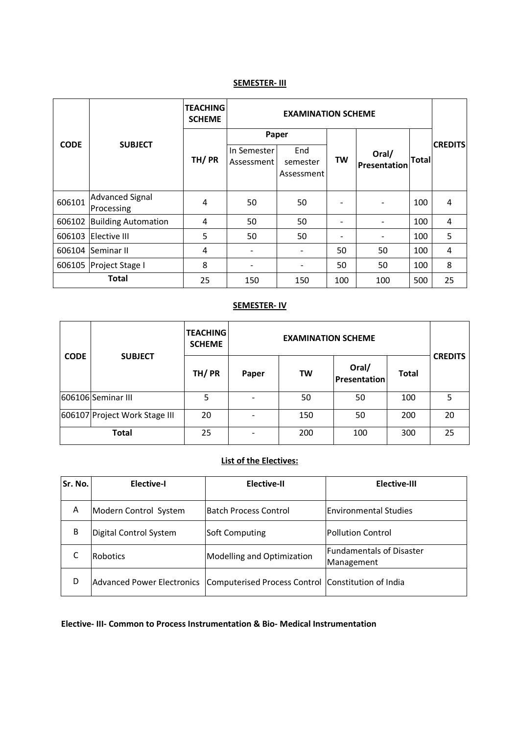# **SEMESTER- III**

|             |                               | <b>TEACHING</b><br><b>SCHEME</b> |                           | <b>EXAMINATION SCHEME</b>     |           |                       |       |                |
|-------------|-------------------------------|----------------------------------|---------------------------|-------------------------------|-----------|-----------------------|-------|----------------|
|             |                               |                                  | Paper                     |                               |           |                       |       |                |
| <b>CODE</b> | <b>SUBJECT</b>                | TH/PR                            | In Semester<br>Assessment | End<br>semester<br>Assessment | <b>TW</b> | Oral/<br>Presentation | Total | <b>CREDITS</b> |
| 606101      | Advanced Signal<br>Processing | 4                                | 50                        | 50                            |           | -                     | 100   | $\overline{4}$ |
| 606102      | <b>Building Automation</b>    | 4                                | 50                        | 50                            |           |                       | 100   | 4              |
| 606103      | Elective III                  | 5                                | 50                        | 50                            |           |                       | 100   | 5              |
| 606104      | <b>Seminar II</b>             | 4                                |                           |                               | 50        | 50                    | 100   | $\overline{4}$ |
|             | 606105 Project Stage I        | 8                                |                           |                               | 50        | 50                    | 100   | 8              |
|             | <b>Total</b>                  | 25                               | 150                       | 150                           | 100       | 100                   | 500   | 25             |

# **SEMESTER- IV**

|             |                               | <b>TEACHING</b><br><b>EXAMINATION SCHEME</b><br><b>SCHEME</b> |       |           |                       |              |                |
|-------------|-------------------------------|---------------------------------------------------------------|-------|-----------|-----------------------|--------------|----------------|
| <b>CODE</b> | <b>SUBJECT</b>                | TH/PR                                                         | Paper | <b>TW</b> | Oral/<br>Presentation | <b>Total</b> | <b>CREDITS</b> |
|             | 606106 Seminar III            | 5                                                             |       | 50        | 50                    | 100          | 5.             |
|             | 606107 Project Work Stage III | 20                                                            |       | 150       | 50                    | 200          | 20             |
|             | Total                         | 25                                                            |       | 200       | 100                   | 300          | 25             |

# **List of the Electives:**

| Sr. No. | <b>Elective-I</b>                 | <b>Elective-II</b>                                 | Elective-III                            |
|---------|-----------------------------------|----------------------------------------------------|-----------------------------------------|
| A       | Modern Control System             | Batch Process Control                              | lEnvironmental Studies                  |
| B       | Digital Control System            | Soft Computing                                     | <b>Pollution Control</b>                |
|         | <b>Robotics</b>                   | Modelling and Optimization                         | lFundamentals of Disaster<br>Management |
| D       | <b>Advanced Power Electronics</b> | Computerised Process Control Constitution of India |                                         |

# **Elective- III- Common to Process Instrumentation & Bio- Medical Instrumentation**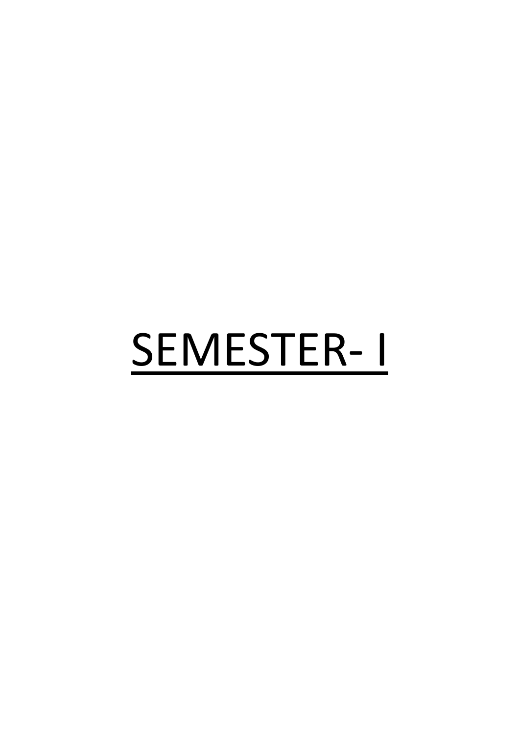# SEMESTER- I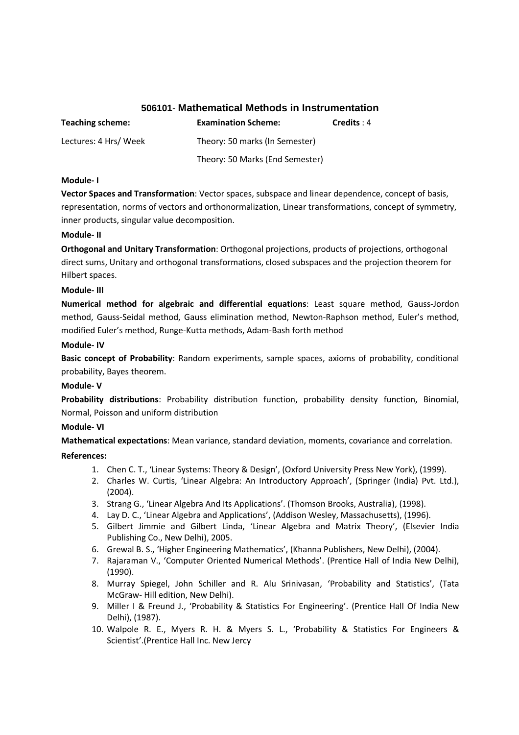# **506101**- **Mathematical Methods in Instrumentation**

 $\overline{\bf{4}}$ 

| Teaching scheme:      | <b>Examination Scheme:</b>      | <b>Credits:</b> |
|-----------------------|---------------------------------|-----------------|
| Lectures: 4 Hrs/ Week | Theory: 50 marks (In Semester)  |                 |
|                       | Theory: 50 Marks (End Semester) |                 |

## **Module- I**

**Vector Spaces and Transformation**: Vector spaces, subspace and linear dependence, concept of basis, representation, norms of vectors and orthonormalization, Linear transformations, concept of symmetry, inner products, singular value decomposition.

## **Module- II**

**Orthogonal and Unitary Transformation**: Orthogonal projections, products of projections, orthogonal direct sums, Unitary and orthogonal transformations, closed subspaces and the projection theorem for Hilbert spaces.

## **Module- III**

**Numerical method for algebraic and differential equations**: Least square method, Gauss-Jordon method, Gauss-Seidal method, Gauss elimination method, Newton-Raphson method, Euler's method, modified Euler's method, Runge-Kutta methods, Adam-Bash forth method

## **Module- IV**

**Basic concept of Probability**: Random experiments, sample spaces, axioms of probability, conditional probability, Bayes theorem.

# **Module- V**

**Probability distributions**: Probability distribution function, probability density function, Binomial, Normal, Poisson and uniform distribution

# **Module- VI**

**Mathematical expectations**: Mean variance, standard deviation, moments, covariance and correlation.

- 1. Chen C. T., 'Linear Systems: Theory & Design', (Oxford University Press New York), (1999).
- 2. Charles W. Curtis, 'Linear Algebra: An Introductory Approach', (Springer (India) Pvt. Ltd.), (2004).
- 3. Strang G., 'Linear Algebra And Its Applications'. (Thomson Brooks, Australia), (1998).
- 4. Lay D. C., 'Linear Algebra and Applications', (Addison Wesley, Massachusetts), (1996).
- 5. Gilbert Jimmie and Gilbert Linda, 'Linear Algebra and Matrix Theory', (Elsevier India Publishing Co., New Delhi), 2005.
- 6. Grewal B. S., 'Higher Engineering Mathematics', (Khanna Publishers, New Delhi), (2004).
- 7. Rajaraman V., 'Computer Oriented Numerical Methods'. (Prentice Hall of India New Delhi), (1990).
- 8. Murray Spiegel, John Schiller and R. Alu Srinivasan, 'Probability and Statistics', (Tata McGraw- Hill edition, New Delhi).
- 9. Miller I & Freund J., 'Probability & Statistics For Engineering'. (Prentice Hall Of India New Delhi), (1987).
- 10. Walpole R. E., Myers R. H. & Myers S. L., 'Probability & Statistics For Engineers & Scientist'.(Prentice Hall Inc. New Jercy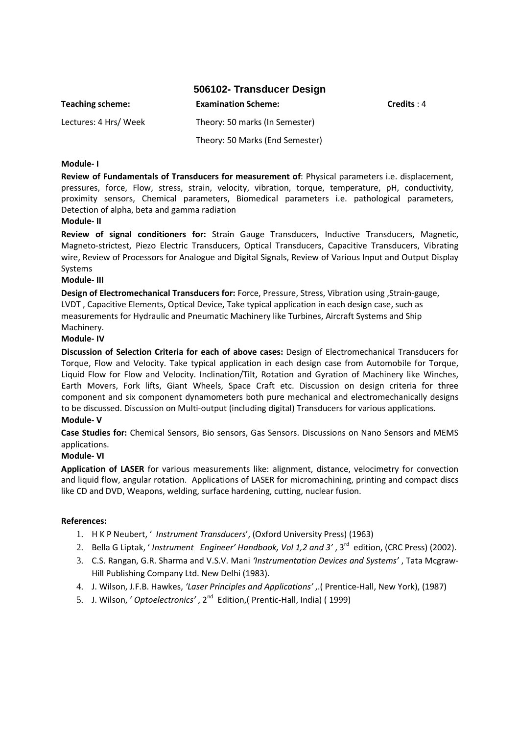# **506102- Transducer Design**

**Credits** : 4

| <b>Teaching scheme:</b> | <b>Examination Scheme:</b>      |
|-------------------------|---------------------------------|
| Lectures: 4 Hrs/ Week   | Theory: 50 marks (In Semester)  |
|                         | Theory: 50 Marks (End Semester) |

## **Module- I**

**Review of Fundamentals of Transducers for measurement of**: Physical parameters i.e. displacement, pressures, force, Flow, stress, strain, velocity, vibration, torque, temperature, pH, conductivity, proximity sensors, Chemical parameters, Biomedical parameters i.e. pathological parameters, Detection of alpha, beta and gamma radiation

## **Module- II**

**Review of signal conditioners for:** Strain Gauge Transducers, Inductive Transducers, Magnetic, Magneto-strictest, Piezo Electric Transducers, Optical Transducers, Capacitive Transducers, Vibrating wire, Review of Processors for Analogue and Digital Signals, Review of Various Input and Output Display Systems

## **Module- III**

**Design of Electromechanical Transducers for:** Force, Pressure, Stress, Vibration using ,Strain-gauge, LVDT , Capacitive Elements, Optical Device, Take typical application in each design case, such as measurements for Hydraulic and Pneumatic Machinery like Turbines, Aircraft Systems and Ship Machinery.

## **Module- IV**

**Discussion of Selection Criteria for each of above cases:** Design of Electromechanical Transducers for Torque, Flow and Velocity. Take typical application in each design case from Automobile for Torque, Liquid Flow for Flow and Velocity. Inclination/Tilt, Rotation and Gyration of Machinery like Winches, Earth Movers, Fork lifts, Giant Wheels, Space Craft etc. Discussion on design criteria for three component and six component dynamometers both pure mechanical and electromechanically designs to be discussed. Discussion on Multi-output (including digital) Transducers for various applications.

# **Module- V**

**Case Studies for:** Chemical Sensors, Bio sensors, Gas Sensors. Discussions on Nano Sensors and MEMS applications.

# **Module- VI**

**Application of LASER** for various measurements like: alignment, distance, velocimetry for convection and liquid flow, angular rotation. Applications of LASER for micromachining, printing and compact discs like CD and DVD, Weapons, welding, surface hardening, cutting, nuclear fusion.

- 1. H K P Neubert, ' *Instrument Transducers*', (Oxford University Press) (1963)
- 2. Bella G Liptak, ' *Instrument Engineer' Handbook, Vol 1,2 and 3'* , 3rd edition, (CRC Press) (2002).
- 3. C.S. Rangan, G.R. Sharma and V.S.V. Mani *'Instrumentation Devices and Systems'* , Tata Mcgraw-Hill Publishing Company Ltd. New Delhi (1983).
- 4. J. Wilson, J.F.B. Hawkes, *'Laser Principles and Applications'* ,.( Prentice-Hall, New York), (1987)
- 5. J. Wilson, ' *Optoelectronics'*, 2<sup>nd</sup> Edition, ( Prentic-Hall, India) (1999)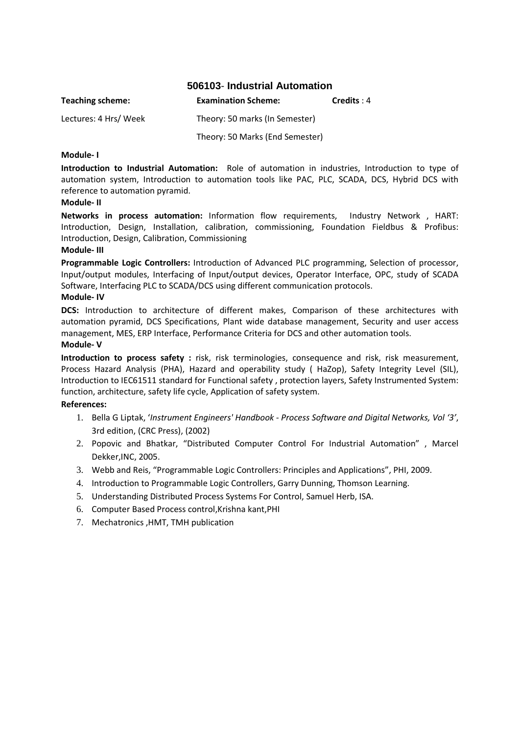# **506103**- **Industrial Automation**

| Teaching scheme:      | <b>Examination Scheme:</b>      | Credits:4 |
|-----------------------|---------------------------------|-----------|
| Lectures: 4 Hrs/ Week | Theory: 50 marks (In Semester)  |           |
|                       | Theory: 50 Marks (End Semester) |           |

## **Module- I**

**Introduction to Industrial Automation:** Role of automation in industries, Introduction to type of automation system, Introduction to automation tools like PAC, PLC, SCADA, DCS, Hybrid DCS with reference to automation pyramid.

## **Module- II**

**Networks in process automation:** Information flow requirements, Industry Network , HART: Introduction, Design, Installation, calibration, commissioning, Foundation Fieldbus & Profibus: Introduction, Design, Calibration, Commissioning

## **Module- III**

**Programmable Logic Controllers:** Introduction of Advanced PLC programming, Selection of processor, Input/output modules, Interfacing of Input/output devices, Operator Interface, OPC, study of SCADA Software, Interfacing PLC to SCADA/DCS using different communication protocols.

## **Module- IV**

**DCS:** Introduction to architecture of different makes, Comparison of these architectures with automation pyramid, DCS Specifications, Plant wide database management, Security and user access management, MES, ERP Interface, Performance Criteria for DCS and other automation tools.

## **Module- V**

**Introduction to process safety :** risk, risk terminologies, consequence and risk, risk measurement, Process Hazard Analysis (PHA), Hazard and operability study ( HaZop), Safety Integrity Level (SIL), Introduction to IEC61511 standard for Functional safety , protection layers, Safety Instrumented System: function, architecture, safety life cycle, Application of safety system.

- 1. Bella G Liptak, '*Instrument Engineers' Handbook - Process Software and Digital Networks, Vol '3'*, 3rd edition, (CRC Press), (2002)
- 2. Popovic and Bhatkar, "Distributed Computer Control For Industrial Automation" , Marcel Dekker,INC, 2005.
- 3. Webb and Reis, "Programmable Logic Controllers: Principles and Applications", PHI, 2009.
- 4. Introduction to Programmable Logic Controllers, Garry Dunning, Thomson Learning.
- 5. Understanding Distributed Process Systems For Control, Samuel Herb, ISA.
- 6. Computer Based Process control,Krishna kant,PHI
- 7. Mechatronics ,HMT, TMH publication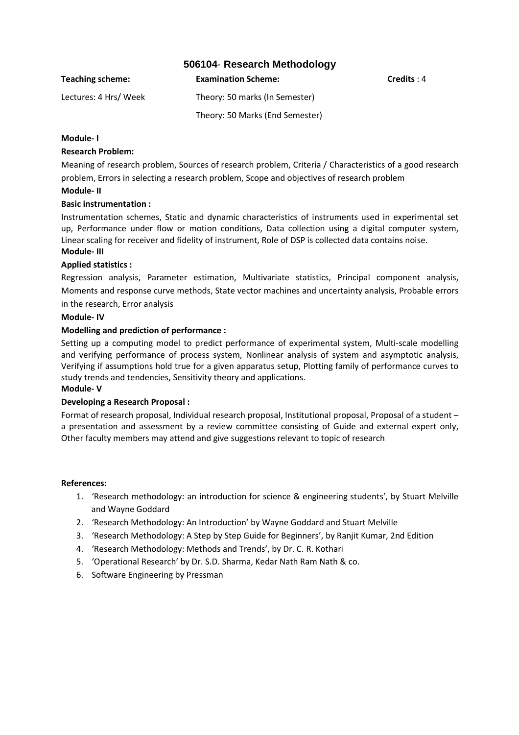# **506104**- **Research Methodology**

| Teaching scheme:      | <b>Examination Scheme:</b>      | $C$ redits : 4 |
|-----------------------|---------------------------------|----------------|
| Lectures: 4 Hrs/ Week | Theory: 50 marks (In Semester)  |                |
|                       | Theory: 50 Marks (End Semester) |                |

# **Module- I**

# **Research Problem:**

Meaning of research problem, Sources of research problem, Criteria / Characteristics of a good research problem, Errors in selecting a research problem, Scope and objectives of research problem

# **Module- II**

# **Basic instrumentation :**

Instrumentation schemes, Static and dynamic characteristics of instruments used in experimental set up, Performance under flow or motion conditions, Data collection using a digital computer system, Linear scaling for receiver and fidelity of instrument, Role of DSP is collected data contains noise.

# **Module- III**

# **Applied statistics :**

Regression analysis, Parameter estimation, Multivariate statistics, Principal component analysis, Moments and response curve methods, State vector machines and uncertainty analysis, Probable errors in the research, Error analysis

# **Module- IV**

# **Modelling and prediction of performance :**

Setting up a computing model to predict performance of experimental system, Multi-scale modelling and verifying performance of process system, Nonlinear analysis of system and asymptotic analysis, Verifying if assumptions hold true for a given apparatus setup, Plotting family of performance curves to study trends and tendencies, Sensitivity theory and applications.

# **Module- V**

# **Developing a Research Proposal :**

Format of research proposal, Individual research proposal, Institutional proposal, Proposal of a student – a presentation and assessment by a review committee consisting of Guide and external expert only, Other faculty members may attend and give suggestions relevant to topic of research

- 1. 'Research methodology: an introduction for science & engineering students', by Stuart Melville and Wayne Goddard
- 2. 'Research Methodology: An Introduction' by Wayne Goddard and Stuart Melville
- 3. 'Research Methodology: A Step by Step Guide for Beginners', by Ranjit Kumar, 2nd Edition
- 4. 'Research Methodology: Methods and Trends', by Dr. C. R. Kothari
- 5. 'Operational Research' by Dr. S.D. Sharma, Kedar Nath Ram Nath & co.
- 6. Software Engineering by Pressman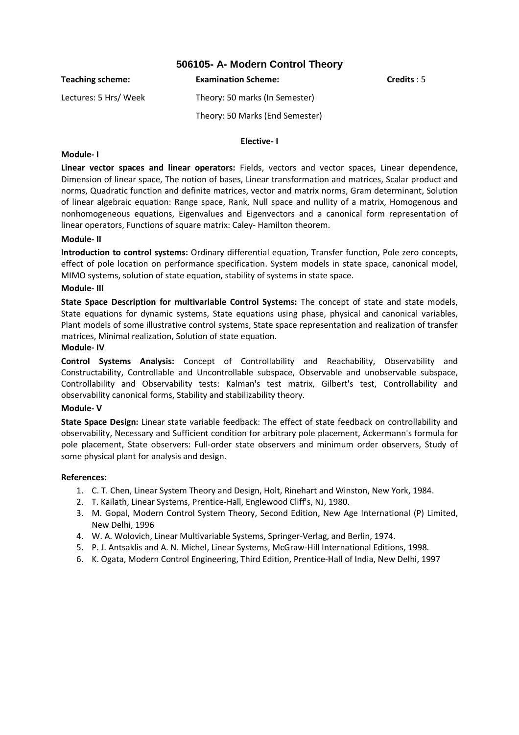# **506105- A- Modern Control Theory**

**Credits** : 5

| <b>Teaching scheme:</b> | <b>Examination Scheme:</b>      |
|-------------------------|---------------------------------|
| Lectures: 5 Hrs/ Week   | Theory: 50 marks (In Semester)  |
|                         | Theory: 50 Marks (End Semester) |

### **Elective- I**

## **Module- I**

**Linear vector spaces and linear operators:** Fields, vectors and vector spaces, Linear dependence, Dimension of linear space, The notion of bases, Linear transformation and matrices, Scalar product and norms, Quadratic function and definite matrices, vector and matrix norms, Gram determinant, Solution of linear algebraic equation: Range space, Rank, Null space and nullity of a matrix, Homogenous and nonhomogeneous equations, Eigenvalues and Eigenvectors and a canonical form representation of linear operators, Functions of square matrix: Caley- Hamilton theorem.

## **Module- II**

**Introduction to control systems:** Ordinary differential equation, Transfer function, Pole zero concepts, effect of pole location on performance specification. System models in state space, canonical model, MIMO systems, solution of state equation, stability of systems in state space.

## **Module- III**

**State Space Description for multivariable Control Systems:** The concept of state and state models, State equations for dynamic systems, State equations using phase, physical and canonical variables, Plant models of some illustrative control systems, State space representation and realization of transfer matrices, Minimal realization, Solution of state equation.

## **Module- IV**

**Control Systems Analysis:** Concept of Controllability and Reachability, Observability and Constructability, Controllable and Uncontrollable subspace, Observable and unobservable subspace, Controllability and Observability tests: Kalman's test matrix, Gilbert's test, Controllability and observability canonical forms, Stability and stabilizability theory.

## **Module- V**

**State Space Design:** Linear state variable feedback: The effect of state feedback on controllability and observability, Necessary and Sufficient condition for arbitrary pole placement, Ackermann's formula for pole placement, State observers: Full-order state observers and minimum order observers, Study of some physical plant for analysis and design.

- 1. C. T. Chen, Linear System Theory and Design, Holt, Rinehart and Winston, New York, 1984.
- 2. T. Kailath, Linear Systems, Prentice-Hall, Englewood Cliff's, NJ, 1980.
- 3. M. Gopal, Modern Control System Theory, Second Edition, New Age International (P) Limited, New Delhi, 1996
- 4. W. A. Wolovich, Linear Multivariable Systems, Springer-Verlag, and Berlin, 1974.
- 5. P. J. Antsaklis and A. N. Michel, Linear Systems, McGraw-Hill International Editions, 1998.
- 6. K. Ogata, Modern Control Engineering, Third Edition, Prentice-Hall of India, New Delhi, 1997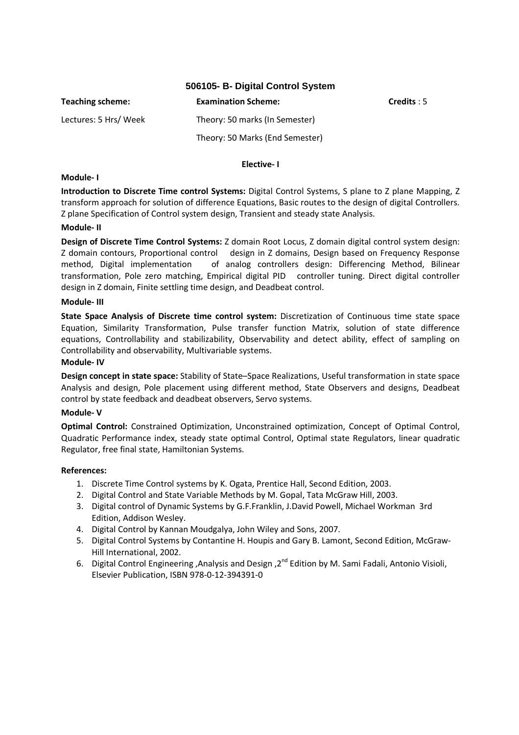# **506105- B- Digital Control System**

**Credits** : 5

| <b>Teaching scheme:</b> | <b>Examination Scheme:</b>      |
|-------------------------|---------------------------------|
| Lectures: 5 Hrs/ Week   | Theory: 50 marks (In Semester)  |
|                         | Theory: 50 Marks (End Semester) |

### **Elective- I**

## **Module- I**

**Introduction to Discrete Time control Systems:** Digital Control Systems, S plane to Z plane Mapping, Z transform approach for solution of difference Equations, Basic routes to the design of digital Controllers. Z plane Specification of Control system design, Transient and steady state Analysis.

## **Module- II**

**Design of Discrete Time Control Systems:** Z domain Root Locus, Z domain digital control system design: Z domain contours, Proportional control design in Z domains, Design based on Frequency Response method, Digital implementation of analog controllers design: Differencing Method, Bilinear transformation, Pole zero matching, Empirical digital PID controller tuning. Direct digital controller design in Z domain, Finite settling time design, and Deadbeat control.

## **Module- III**

**State Space Analysis of Discrete time control system:** Discretization of Continuous time state space Equation, Similarity Transformation, Pulse transfer function Matrix, solution of state difference equations, Controllability and stabilizability, Observability and detect ability, effect of sampling on Controllability and observability, Multivariable systems.

## **Module- IV**

**Design concept in state space:** Stability of State–Space Realizations, Useful transformation in state space Analysis and design, Pole placement using different method, State Observers and designs, Deadbeat control by state feedback and deadbeat observers, Servo systems.

## **Module- V**

**Optimal Control:** Constrained Optimization, Unconstrained optimization, Concept of Optimal Control, Quadratic Performance index, steady state optimal Control, Optimal state Regulators, linear quadratic Regulator, free final state, Hamiltonian Systems.

- 1. Discrete Time Control systems by K. Ogata, Prentice Hall, Second Edition, 2003.
- 2. Digital Control and State Variable Methods by M. Gopal, Tata McGraw Hill, 2003.
- 3. Digital control of Dynamic Systems by G.F.Franklin, J.David Powell, Michael Workman 3rd Edition, Addison Wesley.
- 4. Digital Control by Kannan Moudgalya, John Wiley and Sons, 2007.
- 5. Digital Control Systems by Contantine H. Houpis and Gary B. Lamont, Second Edition, McGraw-Hill International, 2002.
- 6. Digital Control Engineering ,Analysis and Design ,2<sup>nd</sup> Edition by M. Sami Fadali, Antonio Visioli. Elsevier Publication, ISBN 978-0-12-394391-0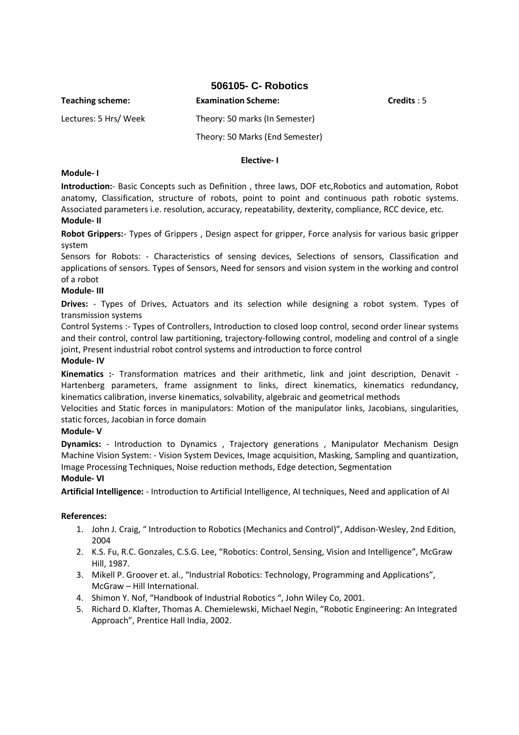# **506105- C- Robotics**

**Credits** : 5

| <b>Teaching scheme:</b> | <b>Examination Scheme:</b>      |
|-------------------------|---------------------------------|
| Lectures: 5 Hrs/ Week   | Theory: 50 marks (In Semester)  |
|                         | Theory: 50 Marks (End Semester) |
|                         |                                 |

## **Elective- I**

## **Module- I**

**Introduction:**- Basic Concepts such as Definition , three laws, DOF etc,Robotics and automation, Robot anatomy, Classification, structure of robots, point to point and continuous path robotic systems. Associated parameters i.e. resolution, accuracy, repeatability, dexterity, compliance, RCC device, etc.

## **Module- II**

**Robot Grippers:**- Types of Grippers , Design aspect for gripper, Force analysis for various basic gripper system

Sensors for Robots: - Characteristics of sensing devices, Selections of sensors, Classification and applications of sensors. Types of Sensors, Need for sensors and vision system in the working and control of a robot

## **Module- III**

**Drives:** - Types of Drives, Actuators and its selection while designing a robot system. Types of transmission systems

Control Systems :- Types of Controllers, Introduction to closed loop control, second order linear systems and their control, control law partitioning, trajectory-following control, modeling and control of a single joint, Present industrial robot control systems and introduction to force control

## **Module- IV**

**Kinematics :**- Transformation matrices and their arithmetic, link and joint description, Denavit - Hartenberg parameters, frame assignment to links, direct kinematics, kinematics redundancy, kinematics calibration, inverse kinematics, solvability, algebraic and geometrical methods

Velocities and Static forces in manipulators: Motion of the manipulator links, Jacobians, singularities, static forces, Jacobian in force domain

# **Module- V**

**Dynamics:** - Introduction to Dynamics , Trajectory generations , Manipulator Mechanism Design Machine Vision System: - Vision System Devices, Image acquisition, Masking, Sampling and quantization, Image Processing Techniques, Noise reduction methods, Edge detection, Segmentation

# **Module- VI**

**Artificial Intelligence:** - Introduction to Artificial Intelligence, AI techniques, Need and application of AI

- 1. John J. Craig, " Introduction to Robotics (Mechanics and Control)", Addison-Wesley, 2nd Edition, 2004
- 2. K.S. Fu, R.C. Gonzales, C.S.G. Lee, "Robotics: Control, Sensing, Vision and Intelligence", McGraw Hill, 1987.
- 3. Mikell P. Groover et. al., "Industrial Robotics: Technology, Programming and Applications", McGraw – Hill International.
- 4. Shimon Y. Nof, "Handbook of Industrial Robotics ", John Wiley Co, 2001.
- 5. Richard D. Klafter, Thomas A. Chemielewski, Michael Negin, "Robotic Engineering: An Integrated Approach", Prentice Hall India, 2002.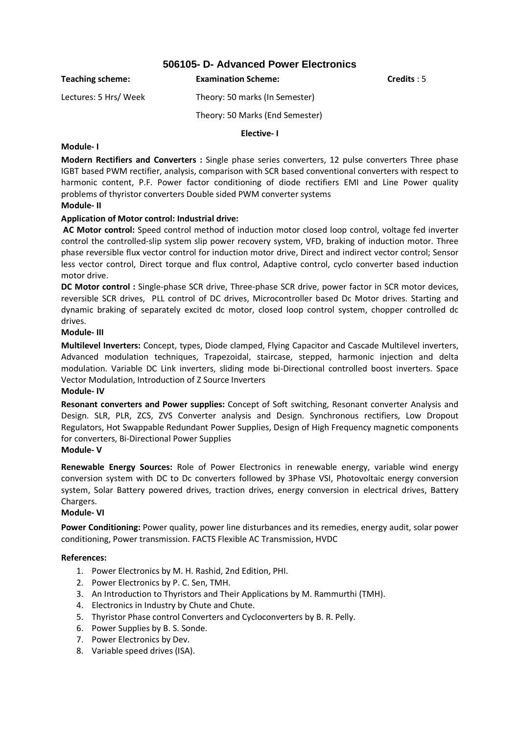# **506105- D- Advanced Power Electronics**

**Credits** : 5

| Teaching scheme:      | <b>Examination Scheme:</b>      |
|-----------------------|---------------------------------|
| Lectures: 5 Hrs/ Week | Theory: 50 marks (In Semester)  |
|                       | Theory: 50 Marks (End Semester) |

# **Elective- I**

# **Module- I**

**Modern Rectifiers and Converters :** Single phase series converters, 12 pulse converters Three phase IGBT based PWM rectifier, analysis, comparison with SCR based conventional converters with respect to harmonic content, P.F. Power factor conditioning of diode rectifiers EMI and Line Power quality problems of thyristor converters Double sided PWM converter systems **Module- II**

# **Application of Motor control: Industrial drive:**

**AC Motor control:** Speed control method of induction motor closed loop control, voltage fed inverter control the controlled-slip system slip power recovery system, VFD, braking of induction motor. Three phase reversible flux vector control for induction motor drive, Direct and indirect vector control; Sensor less vector control, Direct torque and flux control, Adaptive control, cyclo converter based induction motor drive.

**DC Motor control :** Single-phase SCR drive, Three-phase SCR drive, power factor in SCR motor devices, reversible SCR drives, PLL control of DC drives, Microcontroller based Dc Motor drives. Starting and dynamic braking of separately excited dc motor, closed loop control system, chopper controlled dc drives.

# **Module- III**

**Multilevel Inverters:** Concept, types, Diode clamped, Flying Capacitor and Cascade Multilevel inverters, Advanced modulation techniques, Trapezoidal, staircase, stepped, harmonic injection and delta modulation. Variable DC Link inverters, sliding mode bi-Directional controlled boost inverters. Space Vector Modulation, Introduction of Z Source Inverters

# **Module- IV**

**Resonant converters and Power supplies:** Concept of Soft switching, Resonant converter Analysis and Design. SLR, PLR, ZCS, ZVS Converter analysis and Design. Synchronous rectifiers, Low Dropout Regulators, Hot Swappable Redundant Power Supplies, Design of High Frequency magnetic components for converters, Bi-Directional Power Supplies

# **Module- V**

**Renewable Energy Sources:** Role of Power Electronics in renewable energy, variable wind energy conversion system with DC to Dc converters followed by 3Phase VSI, Photovoltaic energy conversion system, Solar Battery powered drives, traction drives, energy conversion in electrical drives, Battery Chargers.

# **Module- VI**

**Power Conditioning:** Power quality, power line disturbances and its remedies, energy audit, solar power conditioning, Power transmission. FACTS Flexible AC Transmission, HVDC

- 1. Power Electronics by M. H. Rashid, 2nd Edition, PHI.
- 2. Power Electronics by P. C. Sen, TMH.
- 3. An Introduction to Thyristors and Their Applications by M. Rammurthi (TMH).
- 4. Electronics in Industry by Chute and Chute.
- 5. Thyristor Phase control Converters and Cycloconverters by B. R. Pelly.
- 6. Power Supplies by B. S. Sonde.
- 7. Power Electronics by Dev.
- 8. Variable speed drives (ISA).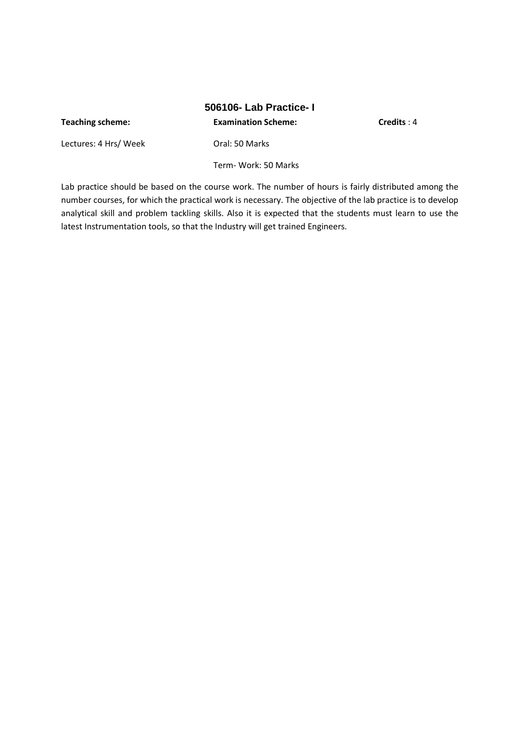# **506106- Lab Practice- I**

**Credits** : 4

| Teaching scheme:      | <b>Examination Scheme:</b> |
|-----------------------|----------------------------|
| Lectures: 4 Hrs/ Week | Oral: 50 Marks             |
|                       | Term- Work: 50 Marks       |

Lab practice should be based on the course work. The number of hours is fairly distributed among the number courses, for which the practical work is necessary. The objective of the lab practice is to develop analytical skill and problem tackling skills. Also it is expected that the students must learn to use the latest Instrumentation tools, so that the Industry will get trained Engineers.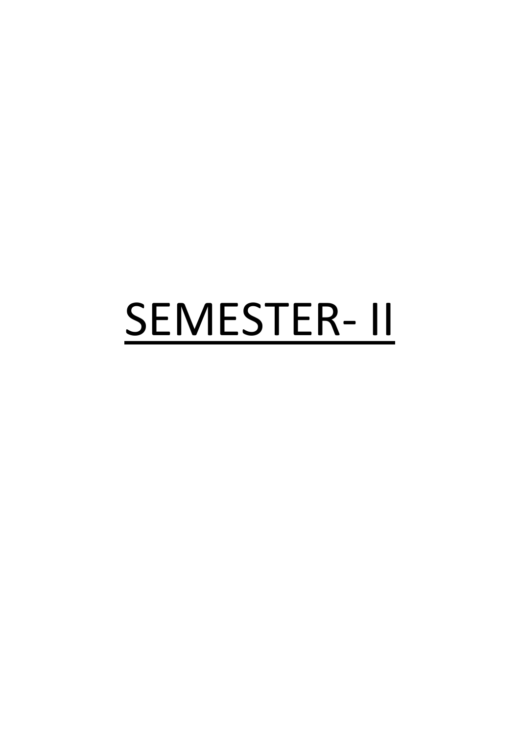# SEMESTER- II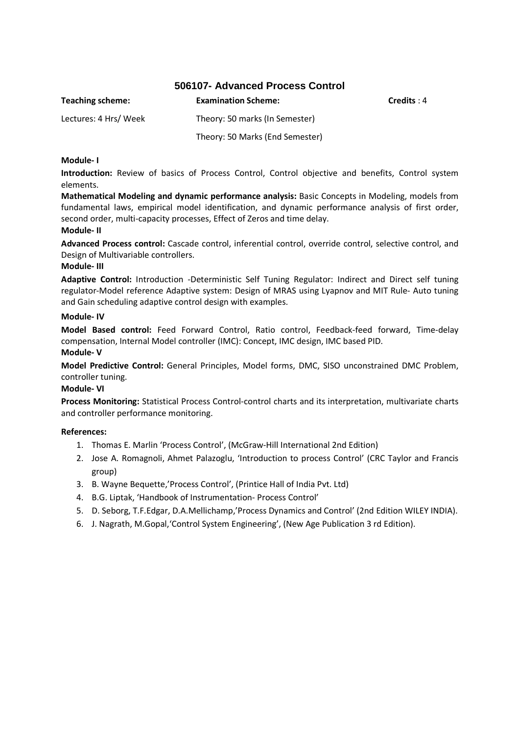# **506107- Advanced Process Control**

**Credits** : 4

| <b>Teaching scheme:</b> | <b>Examination Scheme:</b>      |
|-------------------------|---------------------------------|
| Lectures: 4 Hrs/ Week   | Theory: 50 marks (In Semester)  |
|                         | Theory: 50 Marks (End Semester) |

## **Module- I**

**Introduction:** Review of basics of Process Control, Control objective and benefits, Control system elements.

**Mathematical Modeling and dynamic performance analysis:** Basic Concepts in Modeling, models from fundamental laws, empirical model identification, and dynamic performance analysis of first order, second order, multi-capacity processes, Effect of Zeros and time delay.

# **Module- II**

**Advanced Process control:** Cascade control, inferential control, override control, selective control, and Design of Multivariable controllers.

## **Module- III**

**Adaptive Control:** Introduction -Deterministic Self Tuning Regulator: Indirect and Direct self tuning regulator-Model reference Adaptive system: Design of MRAS using Lyapnov and MIT Rule- Auto tuning and Gain scheduling adaptive control design with examples.

## **Module- IV**

**Model Based control:** Feed Forward Control, Ratio control, Feedback-feed forward, Time-delay compensation, Internal Model controller (IMC): Concept, IMC design, IMC based PID. **Module- V**

**Model Predictive Control:** General Principles, Model forms, DMC, SISO unconstrained DMC Problem, controller tuning.

## **Module- VI**

**Process Monitoring:** Statistical Process Control-control charts and its interpretation, multivariate charts and controller performance monitoring.

- 1. Thomas E. Marlin 'Process Control', (McGraw-Hill International 2nd Edition)
- 2. Jose A. Romagnoli, Ahmet Palazoglu, 'Introduction to process Control' (CRC Taylor and Francis group)
- 3. B. Wayne Bequette,'Process Control', (Printice Hall of India Pvt. Ltd)
- 4. B.G. Liptak, 'Handbook of Instrumentation- Process Control'
- 5. D. Seborg, T.F.Edgar, D.A.Mellichamp,'Process Dynamics and Control' (2nd Edition WILEY INDIA).
- 6. J. Nagrath, M.Gopal,'Control System Engineering', (New Age Publication 3 rd Edition).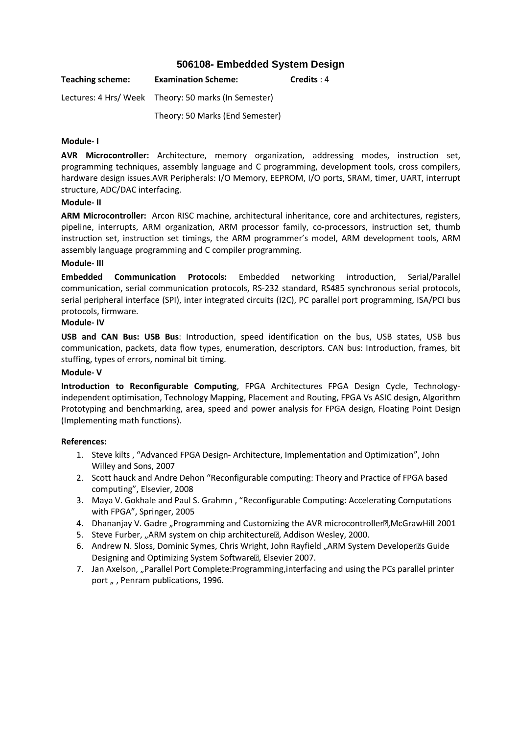# **506108- Embedded System Design**

| <b>Examination Scheme:</b> | <b>Teaching scheme:</b> |  | Credits: 4 |
|----------------------------|-------------------------|--|------------|
|----------------------------|-------------------------|--|------------|

Lectures: 4 Hrs/ Week Theory: 50 marks (In Semester)

Theory: 50 Marks (End Semester)

# **Module- I**

**AVR Microcontroller:** Architecture, memory organization, addressing modes, instruction set, programming techniques, assembly language and C programming, development tools, cross compilers, hardware design issues.AVR Peripherals: I/O Memory, EEPROM, I/O ports, SRAM, timer, UART, interrupt structure, ADC/DAC interfacing.

## **Module- II**

**ARM Microcontroller:** Arcon RISC machine, architectural inheritance, core and architectures, registers, pipeline, interrupts, ARM organization, ARM processor family, co-processors, instruction set, thumb instruction set, instruction set timings, the ARM programmer's model, ARM development tools, ARM assembly language programming and C compiler programming.

## **Module- III**

**Embedded Communication Protocols:** Embedded networking introduction, Serial/Parallel communication, serial communication protocols, RS-232 standard, RS485 synchronous serial protocols, serial peripheral interface (SPI), inter integrated circuits (I2C), PC parallel port programming, ISA/PCI bus protocols, firmware.

## **Module- IV**

**USB and CAN Bus: USB Bus**: Introduction, speed identification on the bus, USB states, USB bus communication, packets, data flow types, enumeration, descriptors. CAN bus: Introduction, frames, bit stuffing, types of errors, nominal bit timing.

## **Module- V**

**Introduction to Reconfigurable Computing**, FPGA Architectures FPGA Design Cycle, Technologyindependent optimisation, Technology Mapping, Placement and Routing, FPGA Vs ASIC design, Algorithm Prototyping and benchmarking, area, speed and power analysis for FPGA design, Floating Point Design (Implementing math functions).

- 1. Steve kilts , "Advanced FPGA Design- Architecture, Implementation and Optimization", John Willey and Sons, 2007
- 2. Scott hauck and Andre Dehon "Reconfigurable computing: Theory and Practice of FPGA based computing", Elsevier, 2008
- 3. Maya V. Gokhale and Paul S. Grahmn , "Reconfigurable Computing: Accelerating Computations with FPGA", Springer, 2005
- 4. Dhananjay V. Gadre "Programming and Customizing the AVR microcontroller<sup>®</sup>, McGrawHill 2001
- 5. Steve Furber, "ARM system on chip architecture<sup>®</sup>, Addison Wesley, 2000.
- 6. Andrew N. Sloss, Dominic Symes, Chris Wright, John Rayfield "ARM System Developer<sup>®</sup>s Guide Designing and Optimizing System Software<sup>®</sup>, Elsevier 2007.
- 7. Jan Axelson, "Parallel Port Complete: Programming, interfacing and using the PCs parallel printer port ", Penram publications, 1996.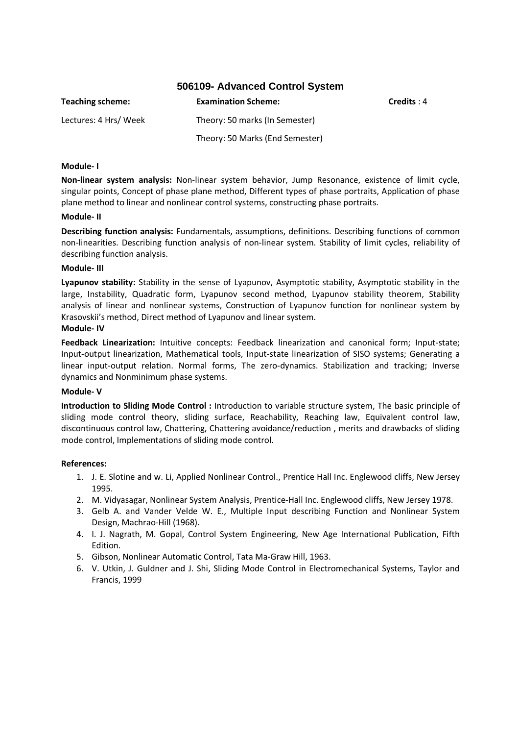# **506109- Advanced Control System**

**Credits** : 4

| Teaching scheme:      | <b>Examination Scheme:</b>      |
|-----------------------|---------------------------------|
| Lectures: 4 Hrs/ Week | Theory: 50 marks (In Semester)  |
|                       | Theory: 50 Marks (End Semester) |

## **Module- I**

**Non-linear system analysis:** Non-linear system behavior, Jump Resonance, existence of limit cycle, singular points, Concept of phase plane method, Different types of phase portraits, Application of phase plane method to linear and nonlinear control systems, constructing phase portraits.

## **Module- II**

**Describing function analysis:** Fundamentals, assumptions, definitions. Describing functions of common non-linearities. Describing function analysis of non-linear system. Stability of limit cycles, reliability of describing function analysis.

## **Module- III**

**Lyapunov stability:** Stability in the sense of Lyapunov, Asymptotic stability, Asymptotic stability in the large, Instability, Quadratic form, Lyapunov second method, Lyapunov stability theorem, Stability analysis of linear and nonlinear systems, Construction of Lyapunov function for nonlinear system by Krasovskii's method, Direct method of Lyapunov and linear system.

## **Module- IV**

**Feedback Linearization:** Intuitive concepts: Feedback linearization and canonical form; Input-state; Input-output linearization, Mathematical tools, Input-state linearization of SISO systems; Generating a linear input-output relation. Normal forms, The zero-dynamics. Stabilization and tracking; Inverse dynamics and Nonminimum phase systems.

## **Module- V**

**Introduction to Sliding Mode Control :** Introduction to variable structure system, The basic principle of sliding mode control theory, sliding surface, Reachability, Reaching law, Equivalent control law, discontinuous control law, Chattering, Chattering avoidance/reduction , merits and drawbacks of sliding mode control, Implementations of sliding mode control.

- 1. J. E. Slotine and w. Li, Applied Nonlinear Control., Prentice Hall Inc. Englewood cliffs, New Jersey 1995.
- 2. M. Vidyasagar, Nonlinear System Analysis, Prentice-Hall Inc. Englewood cliffs, New Jersey 1978.
- 3. Gelb A. and Vander Velde W. E., Multiple Input describing Function and Nonlinear System Design, Machrao-Hill (1968).
- 4. I. J. Nagrath, M. Gopal, Control System Engineering, New Age International Publication, Fifth Edition.
- 5. Gibson, Nonlinear Automatic Control, Tata Ma-Graw Hill, 1963.
- 6. V. Utkin, J. Guldner and J. Shi, Sliding Mode Control in Electromechanical Systems, Taylor and Francis, 1999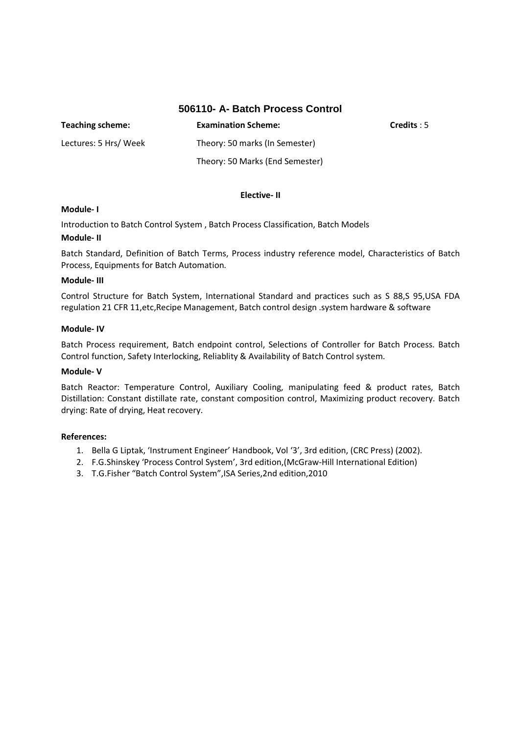# **506110- A- Batch Process Control**

| Teaching scheme:      | <b>Examination Scheme:</b>      | Credits : $5$ |
|-----------------------|---------------------------------|---------------|
| Lectures: 5 Hrs/ Week | Theory: 50 marks (In Semester)  |               |
|                       | Theory: 50 Marks (End Semester) |               |

## **Elective- II**

## **Module- I**

Introduction to Batch Control System , Batch Process Classification, Batch Models

## **Module- II**

Batch Standard, Definition of Batch Terms, Process industry reference model, Characteristics of Batch Process, Equipments for Batch Automation.

## **Module- III**

Control Structure for Batch System, International Standard and practices such as S 88,S 95,USA FDA regulation 21 CFR 11,etc,Recipe Management, Batch control design .system hardware & software

## **Module- IV**

Batch Process requirement, Batch endpoint control, Selections of Controller for Batch Process. Batch Control function, Safety Interlocking, Reliablity & Availability of Batch Control system.

## **Module- V**

Batch Reactor: Temperature Control, Auxiliary Cooling, manipulating feed & product rates, Batch Distillation: Constant distillate rate, constant composition control, Maximizing product recovery. Batch drying: Rate of drying, Heat recovery.

- 1. Bella G Liptak, 'Instrument Engineer' Handbook, Vol '3', 3rd edition, (CRC Press) (2002).
- 2. F.G.Shinskey 'Process Control System', 3rd edition,(McGraw-Hill International Edition)
- 3. T.G.Fisher "Batch Control System",ISA Series,2nd edition,2010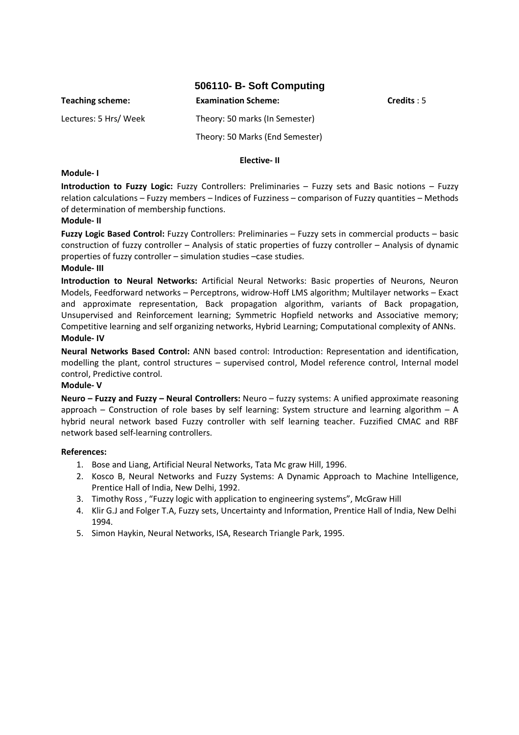# **506110- B- Soft Computing**

**Credits** : 5

| <b>Examination Scheme:</b>      |
|---------------------------------|
| Theory: 50 marks (In Semester)  |
| Theory: 50 Marks (End Semester) |
|                                 |

## **Elective- II**

## **Module- I**

**Introduction to Fuzzy Logic:** Fuzzy Controllers: Preliminaries – Fuzzy sets and Basic notions – Fuzzy relation calculations – Fuzzy members – Indices of Fuzziness – comparison of Fuzzy quantities – Methods of determination of membership functions.

## **Module- II**

**Fuzzy Logic Based Control:** Fuzzy Controllers: Preliminaries – Fuzzy sets in commercial products – basic construction of fuzzy controller – Analysis of static properties of fuzzy controller – Analysis of dynamic properties of fuzzy controller – simulation studies –case studies.

# **Module- III**

**Introduction to Neural Networks:** Artificial Neural Networks: Basic properties of Neurons, Neuron Models, Feedforward networks – Perceptrons, widrow-Hoff LMS algorithm; Multilayer networks – Exact and approximate representation, Back propagation algorithm, variants of Back propagation, Unsupervised and Reinforcement learning; Symmetric Hopfield networks and Associative memory; Competitive learning and self organizing networks, Hybrid Learning; Computational complexity of ANNs. **Module- IV**

**Neural Networks Based Control:** ANN based control: Introduction: Representation and identification, modelling the plant, control structures – supervised control, Model reference control, Internal model control, Predictive control.

# **Module- V**

**Neuro – Fuzzy and Fuzzy – Neural Controllers:** Neuro – fuzzy systems: A unified approximate reasoning approach – Construction of role bases by self learning: System structure and learning algorithm – A hybrid neural network based Fuzzy controller with self learning teacher. Fuzzified CMAC and RBF network based self-learning controllers.

- 1. Bose and Liang, Artificial Neural Networks, Tata Mc graw Hill, 1996.
- 2. Kosco B, Neural Networks and Fuzzy Systems: A Dynamic Approach to Machine Intelligence, Prentice Hall of India, New Delhi, 1992.
- 3. Timothy Ross , "Fuzzy logic with application to engineering systems", McGraw Hill
- 4. Klir G.J and Folger T.A, Fuzzy sets, Uncertainty and Information, Prentice Hall of India, New Delhi 1994.
- 5. Simon Haykin, Neural Networks, ISA, Research Triangle Park, 1995.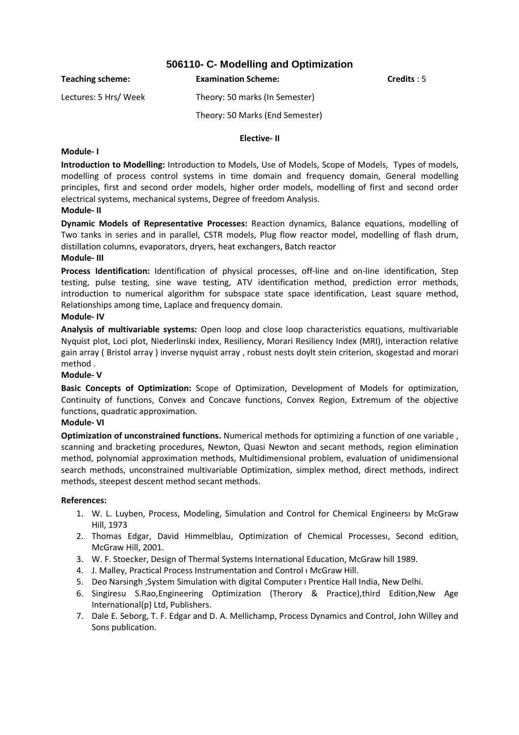# **506110- C- Modelling and Optimization**

**Credits** : 5

| <b>Examination Scheme:</b>      |
|---------------------------------|
| Theory: 50 marks (In Semester)  |
| Theory: 50 Marks (End Semester) |
|                                 |

## **Elective- II**

# **Module- I**

**Introduction to Modelling:** Introduction to Models, Use of Models, Scope of Models, Types of models, modelling of process control systems in time domain and frequency domain, General modelling principles, first and second order models, higher order models, modelling of first and second order electrical systems, mechanical systems, Degree of freedom Analysis.

# **Module- II**

**Dynamic Models of Representative Processes:** Reaction dynamics, Balance equations, modelling of Two tanks in series and in parallel, CSTR models, Plug flow reactor model, modelling of flash drum, distillation columns, evaporators, dryers, heat exchangers, Batch reactor

# **Module- III**

**Process Identification:** Identification of physical processes, off-line and on-line identification, Step testing, pulse testing, sine wave testing, ATV identification method, prediction error methods, introduction to numerical algorithm for subspace state space identification, Least square method, Relationships among time, Laplace and frequency domain.

# **Module- IV**

**Analysis of multivariable systems:** Open loop and close loop characteristics equations, multivariable Nyquist plot, Loci plot, Niederlinski index, Resiliency, Morari Resiliency Index (MRI), interaction relative gain array ( Bristol array ) inverse nyquist array , robust nests doylt stein criterion, skogestad and morari method .

# **Module- V**

**Basic Concepts of Optimization:** Scope of Optimization, Development of Models for optimization, Continuity of functions, Convex and Concave functions, Convex Region, Extremum of the objective functions, quadratic approximation.

# **Module- VI**

**Optimization of unconstrained functions.** Numerical methods for optimizing a function of one variable , scanning and bracketing procedures, Newton, Quasi Newton and secant methods, region elimination method, polynomial approximation methods, Multidimensional problem, evaluation of unidimensional search methods, unconstrained multivariable Optimization, simplex method, direct methods, indirect methods, steepest descent method secant methods.

- 1. W. L. Luyben, Process, Modeling, Simulation and Control for Chemical Engineersı by McGraw Hill, 1973
- 2. Thomas Edgar, David Himmelblau, Optimization of Chemical Processesı, Second edition, McGraw Hill, 2001.
- 3. W. F. Stoecker, Design of Thermal Systems International Education, McGraw hill 1989.
- 4. J. Malley, Practical Process Instrumentation and Control ı McGraw Hill.
- 5. Deo Narsingh ,System Simulation with digital Computer ı Prentice Hall India, New Delhi.
- 6. Singiresu S.Rao,Engineering Optimization (Therory & Practice),third Edition,New Age International(p) Ltd, Publishers.
- 7. Dale E. Seborg, T. F. Edgar and D. A. Mellichamp, Process Dynamics and Control, John Willey and Sons publication.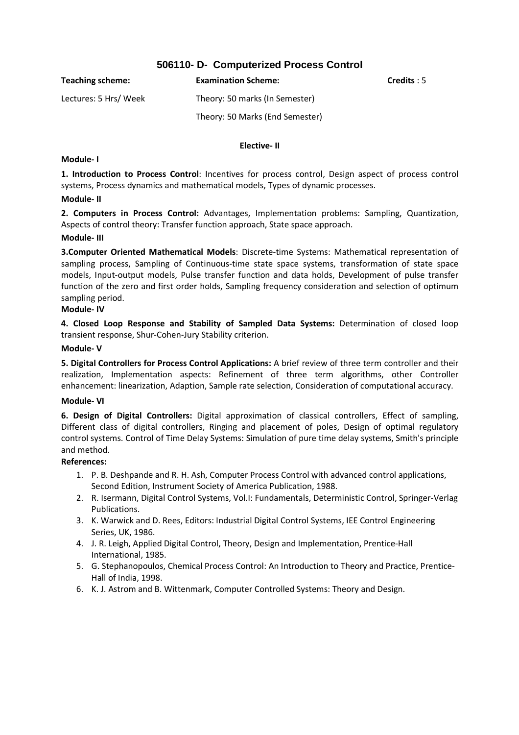# **506110- D- Computerized Process Control**

| Teaching scheme:      | <b>Examination Scheme:</b>      | Credits : $5$ |
|-----------------------|---------------------------------|---------------|
| Lectures: 5 Hrs/ Week | Theory: 50 marks (In Semester)  |               |
|                       | Theory: 50 Marks (End Semester) |               |

## **Elective- II**

## **Module- I**

**1. Introduction to Process Control**: Incentives for process control, Design aspect of process control systems, Process dynamics and mathematical models, Types of dynamic processes.

## **Module- II**

**2. Computers in Process Control:** Advantages, Implementation problems: Sampling, Quantization, Aspects of control theory: Transfer function approach, State space approach.

## **Module- III**

**3.Computer Oriented Mathematical Models**: Discrete-time Systems: Mathematical representation of sampling process, Sampling of Continuous-time state space systems, transformation of state space models, Input-output models, Pulse transfer function and data holds, Development of pulse transfer function of the zero and first order holds, Sampling frequency consideration and selection of optimum sampling period.

## **Module- IV**

**4. Closed Loop Response and Stability of Sampled Data Systems:** Determination of closed loop transient response, Shur-Cohen-Jury Stability criterion.

## **Module- V**

**5. Digital Controllers for Process Control Applications:** A brief review of three term controller and their realization, Implementation aspects: Refinement of three term algorithms, other Controller enhancement: linearization, Adaption, Sample rate selection, Consideration of computational accuracy.

## **Module- VI**

**6. Design of Digital Controllers:** Digital approximation of classical controllers, Effect of sampling, Different class of digital controllers, Ringing and placement of poles, Design of optimal regulatory control systems. Control of Time Delay Systems: Simulation of pure time delay systems, Smith's principle and method.

- 1. P. B. Deshpande and R. H. Ash, Computer Process Control with advanced control applications, Second Edition, Instrument Society of America Publication, 1988.
- 2. R. Isermann, Digital Control Systems, Vol.I: Fundamentals, Deterministic Control, Springer-Verlag Publications.
- 3. K. Warwick and D. Rees, Editors: Industrial Digital Control Systems, IEE Control Engineering Series, UK, 1986.
- 4. J. R. Leigh, Applied Digital Control, Theory, Design and Implementation, Prentice-Hall International, 1985.
- 5. G. Stephanopoulos, Chemical Process Control: An Introduction to Theory and Practice, Prentice-Hall of India, 1998.
- 6. K. J. Astrom and B. Wittenmark, Computer Controlled Systems: Theory and Design.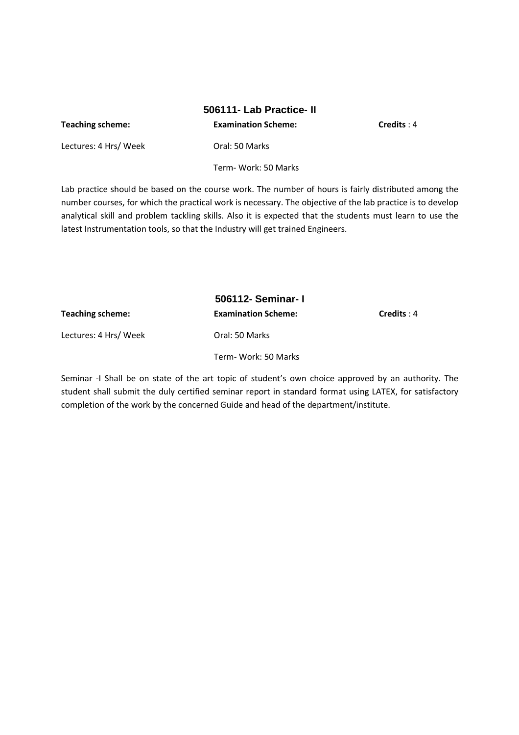| 506111- Lab Practice- II |                            |            |
|--------------------------|----------------------------|------------|
| <b>Teaching scheme:</b>  | <b>Examination Scheme:</b> | Credits: 4 |
| Lectures: 4 Hrs/ Week    | Oral: 50 Marks             |            |
|                          | Term- Work: 50 Marks       |            |

Lab practice should be based on the course work. The number of hours is fairly distributed among the number courses, for which the practical work is necessary. The objective of the lab practice is to develop analytical skill and problem tackling skills. Also it is expected that the students must learn to use the latest Instrumentation tools, so that the Industry will get trained Engineers.

|                         | 506112- Seminar- I         |               |
|-------------------------|----------------------------|---------------|
| <b>Teaching scheme:</b> | <b>Examination Scheme:</b> | Credits : $4$ |
| Lectures: 4 Hrs/ Week   | Oral: 50 Marks             |               |
|                         | Term- Work: 50 Marks       |               |

Seminar -I Shall be on state of the art topic of student's own choice approved by an authority. The student shall submit the duly certified seminar report in standard format using LATEX, for satisfactory completion of the work by the concerned Guide and head of the department/institute.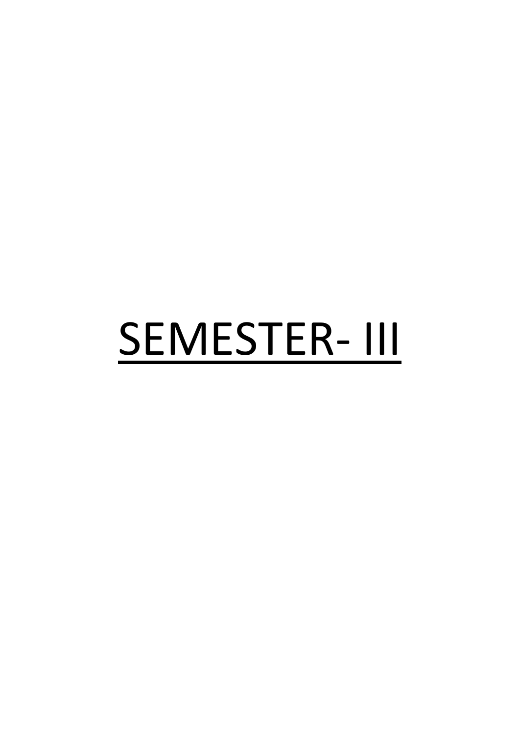# SEMESTER- III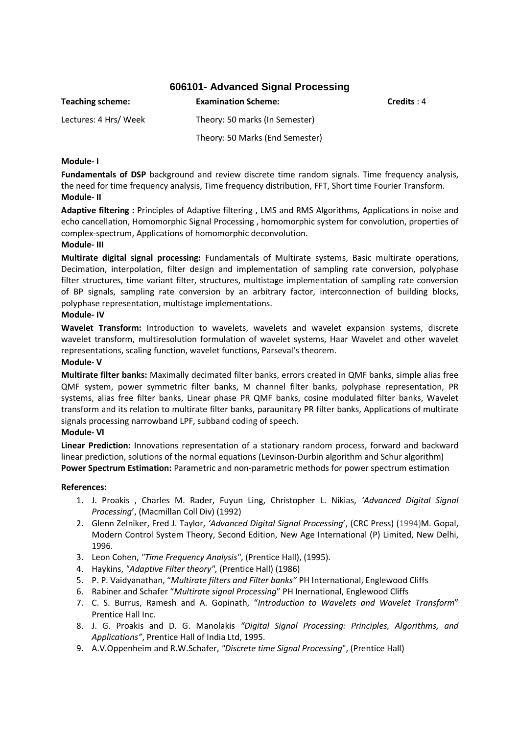# **606101- Advanced Signal Processing**

**Credits** : 4

| Teaching scheme:      | <b>Examination Scheme:</b>      |
|-----------------------|---------------------------------|
| Lectures: 4 Hrs/ Week | Theory: 50 marks (In Semester)  |
|                       | Theory: 50 Marks (End Semester) |

## **Module- I**

**Fundamentals of DSP** background and review discrete time random signals. Time frequency analysis, the need for time frequency analysis, Time frequency distribution, FFT, Short time Fourier Transform. **Module- II**

**Adaptive filtering :** Principles of Adaptive filtering , LMS and RMS Algorithms, Applications in noise and echo cancellation, Homomorphic Signal Processing , homomorphic system for convolution, properties of complex-spectrum, Applications of homomorphic deconvolution.

# **Module- III**

**Multirate digital signal processing:** Fundamentals of Multirate systems, Basic multirate operations, Decimation, interpolation, filter design and implementation of sampling rate conversion, polyphase filter structures, time variant filter, structures, multistage implementation of sampling rate conversion of BP signals, sampling rate conversion by an arbitrary factor, interconnection of building blocks, polyphase representation, multistage implementations.

## **Module- IV**

**Wavelet Transform:** Introduction to wavelets, wavelets and wavelet expansion systems, discrete wavelet transform, multiresolution formulation of wavelet systems, Haar Wavelet and other wavelet representations, scaling function, wavelet functions, Parseval's theorem.

## **Module- V**

**Multirate filter banks:** Maximally decimated filter banks, errors created in QMF banks, simple alias free QMF system, power symmetric filter banks, M channel filter banks, polyphase representation, PR systems, alias free filter banks, Linear phase PR QMF banks, cosine modulated filter banks, Wavelet transform and its relation to multirate filter banks, paraunitary PR filter banks, Applications of multirate signals processing narrowband LPF, subband coding of speech.

## **Module- VI**

**Linear Prediction:** Innovations representation of a stationary random process, forward and backward linear prediction, solutions of the normal equations (Levinson-Durbin algorithm and Schur algorithm) **Power Spectrum Estimation:** Parametric and non-parametric methods for power spectrum estimation

- 1. J. Proakis , Charles M. Rader, Fuyun Ling, Christopher L. Nikias, *'Advanced Digital Signal Processing*', (Macmillan Coll Div) (1992)
- 2. Glenn Zelniker, Fred J. Taylor, *'Advanced Digital Signal Processing*', (CRC Press) (1994)M. Gopal, Modern Control System Theory, Second Edition, New Age International (P) Limited, New Delhi, 1996.
- 3. Leon Cohen, *"Time Frequency Analysis"*, (Prentice Hall), (1995).
- 4. Haykins, *"Adaptive Filter theory",* (Prentice Hall) (1986)
- 5. P. P. Vaidyanathan, "*Multirate filters and Filter banks"* PH International, Englewood Cliffs
- 6. Rabiner and Schafer "*Multirate signal Processing*" PH Inernational, Englewood Cliffs
- 7. C. S. Burrus, Ramesh and A. Gopinath, "*Introduction to Wavelets and Wavelet Transform*" Prentice Hall Inc.
- 8. J. G. Proakis and D. G. Manolakis *"Digital Signal Processing: Principles, Algorithms, and Applications"*, Prentice Hall of India Ltd, 1995.
- 9. A.V.Oppenheim and R.W.Schafer, *"Discrete time Signal Processing*", (Prentice Hall)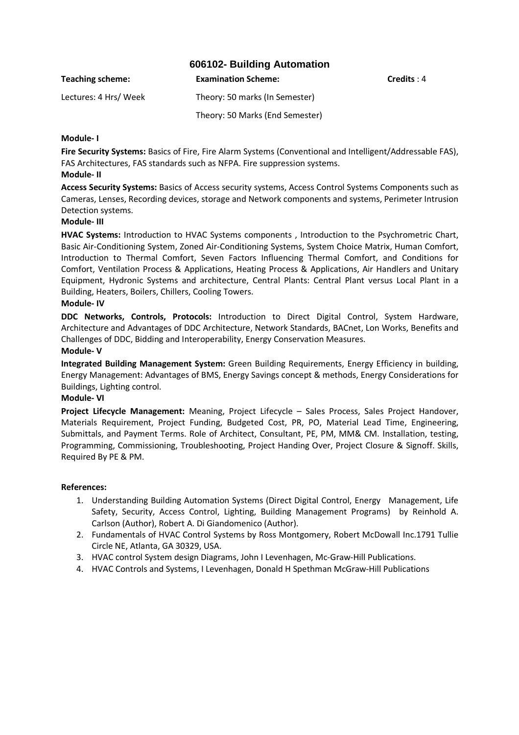# **606102- Building Automation**

| Teaching scheme:      | <b>Examination Scheme:</b>      | Credits : $4$ |
|-----------------------|---------------------------------|---------------|
| Lectures: 4 Hrs/ Week | Theory: 50 marks (In Semester)  |               |
|                       | Theory: 50 Marks (End Semester) |               |

# **Module- I**

**Fire Security Systems:** Basics of Fire, Fire Alarm Systems (Conventional and Intelligent/Addressable FAS), FAS Architectures, FAS standards such as NFPA. Fire suppression systems.

# **Module- II**

**Access Security Systems:** Basics of Access security systems, Access Control Systems Components such as Cameras, Lenses, Recording devices, storage and Network components and systems, Perimeter Intrusion Detection systems.

# **Module- III**

**HVAC Systems:** Introduction to HVAC Systems components , Introduction to the Psychrometric Chart, Basic Air-Conditioning System, Zoned Air-Conditioning Systems, System Choice Matrix, Human Comfort, Introduction to Thermal Comfort, Seven Factors Influencing Thermal Comfort, and Conditions for Comfort, Ventilation Process & Applications, Heating Process & Applications, Air Handlers and Unitary Equipment, Hydronic Systems and architecture, Central Plants: Central Plant versus Local Plant in a Building, Heaters, Boilers, Chillers, Cooling Towers.

# **Module- IV**

**DDC Networks, Controls, Protocols:** Introduction to Direct Digital Control, System Hardware, Architecture and Advantages of DDC Architecture, Network Standards, BACnet, Lon Works, Benefits and Challenges of DDC, Bidding and Interoperability, Energy Conservation Measures.

# **Module- V**

**Integrated Building Management System:** Green Building Requirements, Energy Efficiency in building, Energy Management: Advantages of BMS, Energy Savings concept & methods, Energy Considerations for Buildings, Lighting control.

# **Module- VI**

**Project Lifecycle Management:** Meaning, Project Lifecycle – Sales Process, Sales Project Handover, Materials Requirement, Project Funding, Budgeted Cost, PR, PO, Material Lead Time, Engineering, Submittals, and Payment Terms. Role of Architect, Consultant, PE, PM, MM& CM. Installation, testing, Programming, Commissioning, Troubleshooting, Project Handing Over, Project Closure & Signoff. Skills, Required By PE & PM.

- 1. Understanding Building Automation Systems (Direct Digital Control, Energy Management, Life Safety, Security, Access Control, Lighting, Building Management Programs) by Reinhold A. Carlson (Author), Robert A. Di Giandomenico (Author).
- 2. Fundamentals of HVAC Control Systems by Ross Montgomery, Robert McDowall Inc.1791 Tullie Circle NE, Atlanta, GA 30329, USA.
- 3. HVAC control System design Diagrams, John I Levenhagen, Mc-Graw-Hill Publications.
- 4. HVAC Controls and Systems, I Levenhagen, Donald H Spethman McGraw-Hill Publications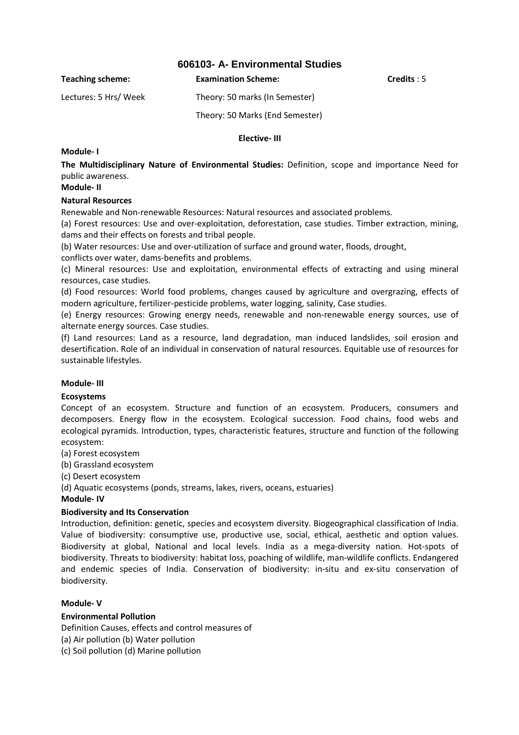# **606103- A- Environmental Studies**

### **Teaching scheme:**

Lectures: 5 Hrs/ Week

**Examination Scheme:**

**Credits** : 5

Theory: 50 Marks (End Semester)

Theory: 50 marks (In Semester)

# **Elective- III**

## **Module- I**

**The Multidisciplinary Nature of Environmental Studies:** Definition, scope and importance Need for public awareness.

**Module- II**

## **Natural Resources**

Renewable and Non-renewable Resources: Natural resources and associated problems.

(a) Forest resources: Use and over-exploitation, deforestation, case studies. Timber extraction, mining, dams and their effects on forests and tribal people.

(b) Water resources: Use and over-utilization of surface and ground water, floods, drought,

conflicts over water, dams-benefits and problems.

(c) Mineral resources: Use and exploitation, environmental effects of extracting and using mineral resources, case studies.

(d) Food resources: World food problems, changes caused by agriculture and overgrazing, effects of modern agriculture, fertilizer-pesticide problems, water logging, salinity, Case studies.

(e) Energy resources: Growing energy needs, renewable and non-renewable energy sources, use of alternate energy sources. Case studies.

(f) Land resources: Land as a resource, land degradation, man induced landslides, soil erosion and desertification. Role of an individual in conservation of natural resources. Equitable use of resources for sustainable lifestyles.

# **Module- III**

# **Ecosystems**

Concept of an ecosystem. Structure and function of an ecosystem. Producers, consumers and decomposers. Energy flow in the ecosystem. Ecological succession. Food chains, food webs and ecological pyramids. Introduction, types, characteristic features, structure and function of the following ecosystem:

(a) Forest ecosystem

(b) Grassland ecosystem

(c) Desert ecosystem

(d) Aquatic ecosystems (ponds, streams, lakes, rivers, oceans, estuaries)

# **Module- IV**

# **Biodiversity and Its Conservation**

Introduction, definition: genetic, species and ecosystem diversity. Biogeographical classification of India. Value of biodiversity: consumptive use, productive use, social, ethical, aesthetic and option values. Biodiversity at global, National and local levels. India as a mega-diversity nation. Hot-spots of biodiversity. Threats to biodiversity: habitat loss, poaching of wildlife, man-wildlife conflicts. Endangered and endemic species of India. Conservation of biodiversity: in-situ and ex-situ conservation of biodiversity.

## **Module- V**

# **Environmental Pollution**

Definition Causes, effects and control measures of

(a) Air pollution (b) Water pollution

(c) Soil pollution (d) Marine pollution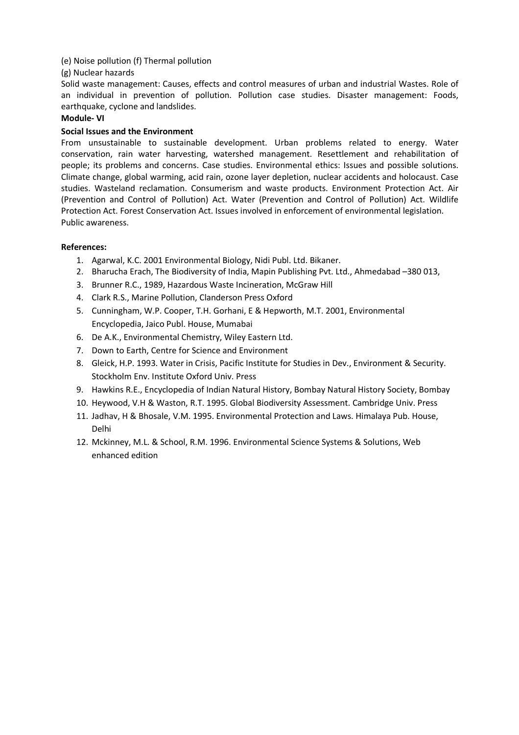# (e) Noise pollution (f) Thermal pollution

# (g) Nuclear hazards

Solid waste management: Causes, effects and control measures of urban and industrial Wastes. Role of an individual in prevention of pollution. Pollution case studies. Disaster management: Foods, earthquake, cyclone and landslides.

# **Module- VI**

# **Social Issues and the Environment**

From unsustainable to sustainable development. Urban problems related to energy. Water conservation, rain water harvesting, watershed management. Resettlement and rehabilitation of people; its problems and concerns. Case studies. Environmental ethics: Issues and possible solutions. Climate change, global warming, acid rain, ozone layer depletion, nuclear accidents and holocaust. Case studies. Wasteland reclamation. Consumerism and waste products. Environment Protection Act. Air (Prevention and Control of Pollution) Act. Water (Prevention and Control of Pollution) Act. Wildlife Protection Act. Forest Conservation Act. Issues involved in enforcement of environmental legislation. Public awareness.

- 1. Agarwal, K.C. 2001 Environmental Biology, Nidi Publ. Ltd. Bikaner.
- 2. Bharucha Erach, The Biodiversity of India, Mapin Publishing Pvt. Ltd., Ahmedabad –380 013,
- 3. Brunner R.C., 1989, Hazardous Waste Incineration, McGraw Hill
- 4. Clark R.S., Marine Pollution, Clanderson Press Oxford
- 5. Cunningham, W.P. Cooper, T.H. Gorhani, E & Hepworth, M.T. 2001, Environmental Encyclopedia, Jaico Publ. House, Mumabai
- 6. De A.K., Environmental Chemistry, Wiley Eastern Ltd.
- 7. Down to Earth, Centre for Science and Environment
- 8. Gleick, H.P. 1993. Water in Crisis, Pacific Institute for Studies in Dev., Environment & Security. Stockholm Env. Institute Oxford Univ. Press
- 9. Hawkins R.E., Encyclopedia of Indian Natural History, Bombay Natural History Society, Bombay
- 10. Heywood, V.H & Waston, R.T. 1995. Global Biodiversity Assessment. Cambridge Univ. Press
- 11. Jadhav, H & Bhosale, V.M. 1995. Environmental Protection and Laws. Himalaya Pub. House, Delhi
- 12. Mckinney, M.L. & School, R.M. 1996. Environmental Science Systems & Solutions, Web enhanced edition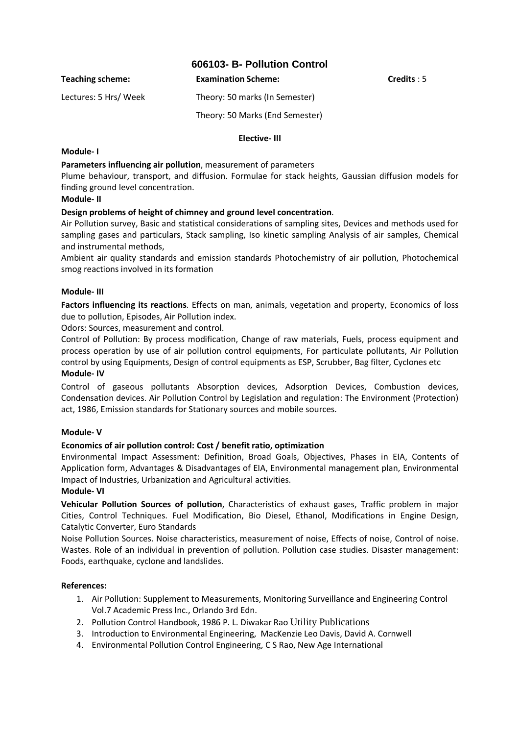# **606103- B- Pollution Control**

**Credits** : 5

| Teaching scheme:      | <b>Examination Scheme:</b>      |
|-----------------------|---------------------------------|
| Lectures: 5 Hrs/ Week | Theory: 50 marks (In Semester)  |
|                       | Theory: 50 Marks (End Semester) |

## **Elective- III**

# **Module- I**

## **Parameters influencing air pollution**, measurement of parameters

Plume behaviour, transport, and diffusion. Formulae for stack heights, Gaussian diffusion models for finding ground level concentration.

## **Module- II**

## **Design problems of height of chimney and ground level concentration**.

Air Pollution survey, Basic and statistical considerations of sampling sites, Devices and methods used for sampling gases and particulars, Stack sampling, Iso kinetic sampling Analysis of air samples, Chemical and instrumental methods,

Ambient air quality standards and emission standards Photochemistry of air pollution, Photochemical smog reactions involved in its formation

## **Module- III**

**Factors influencing its reactions**. Effects on man, animals, vegetation and property, Economics of loss due to pollution, Episodes, Air Pollution index.

Odors: Sources, measurement and control.

Control of Pollution: By process modification, Change of raw materials, Fuels, process equipment and process operation by use of air pollution control equipments, For particulate pollutants, Air Pollution control by using Equipments, Design of control equipments as ESP, Scrubber, Bag filter, Cyclones etc **Module- IV**

# Control of gaseous pollutants Absorption devices, Adsorption Devices, Combustion devices, Condensation devices. Air Pollution Control by Legislation and regulation: The Environment (Protection) act, 1986, Emission standards for Stationary sources and mobile sources.

## **Module- V**

# **Economics of air pollution control: Cost / benefit ratio, optimization**

Environmental Impact Assessment: Definition, Broad Goals, Objectives, Phases in EIA, Contents of Application form, Advantages & Disadvantages of EIA, Environmental management plan, Environmental Impact of Industries, Urbanization and Agricultural activities.

## **Module- VI**

**Vehicular Pollution Sources of pollution**, Characteristics of exhaust gases, Traffic problem in major Cities, Control Techniques. Fuel Modification, Bio Diesel, Ethanol, Modifications in Engine Design, Catalytic Converter, Euro Standards

Noise Pollution Sources. Noise characteristics, measurement of noise, Effects of noise, Control of noise. Wastes. Role of an individual in prevention of pollution. Pollution case studies. Disaster management: Foods, earthquake, cyclone and landslides.

- 1. Air Pollution: Supplement to Measurements, Monitoring Surveillance and Engineering Control Vol.7 Academic Press Inc., Orlando 3rd Edn.
- 2. Pollution Control Handbook, 1986 P. L. Diwakar Rao Utility Publications
- 3. Introduction to Environmental Engineering, MacKenzie Leo Davis, David A. Cornwell
- 4. Environmental Pollution Control Engineering, C S Rao, New Age International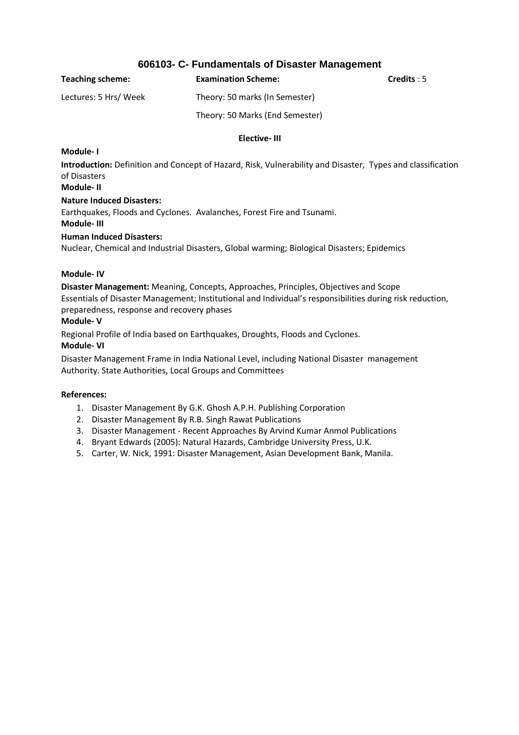# **606103- C- Fundamentals of Disaster Management**

| Teaching scheme:      | <b>Examination Scheme:</b>      | Credits : $5$ |  |
|-----------------------|---------------------------------|---------------|--|
| Lectures: 5 Hrs/ Week | Theory: 50 marks (In Semester)  |               |  |
|                       | Theory: 50 Marks (End Semester) |               |  |
|                       |                                 |               |  |

# **Elective- III**

# **Module- I**

**Introduction:** Definition and Concept of Hazard, Risk, Vulnerability and Disaster, Types and classification of Disasters

**Module- II**

## **Nature Induced Disasters:**

Earthquakes, Floods and Cyclones. Avalanches, Forest Fire and Tsunami.

**Module- III**

# **Human Induced Disasters:**

Nuclear, Chemical and Industrial Disasters, Global warming; Biological Disasters; Epidemics

# **Module- IV**

**Disaster Management:** Meaning, Concepts, Approaches, Principles, Objectives and Scope Essentials of Disaster Management; Institutional and Individual's responsibilities during risk reduction, preparedness, response and recovery phases

# **Module- V**

Regional Profile of India based on Earthquakes, Droughts, Floods and Cyclones.

# **Module- VI**

Disaster Management Frame in India National Level, including National Disaster management Authority. State Authorities, Local Groups and Committees

- 1. Disaster Management By G.K. Ghosh A.P.H. Publishing Corporation
- 2. Disaster Management By R.B. Singh Rawat Publications
- 3. Disaster Management Recent Approaches By Arvind Kumar Anmol Publications
- 4. Bryant Edwards (2005): Natural Hazards, Cambridge University Press, U.K.
- 5. Carter, W. Nick, 1991: Disaster Management, Asian Development Bank, Manila.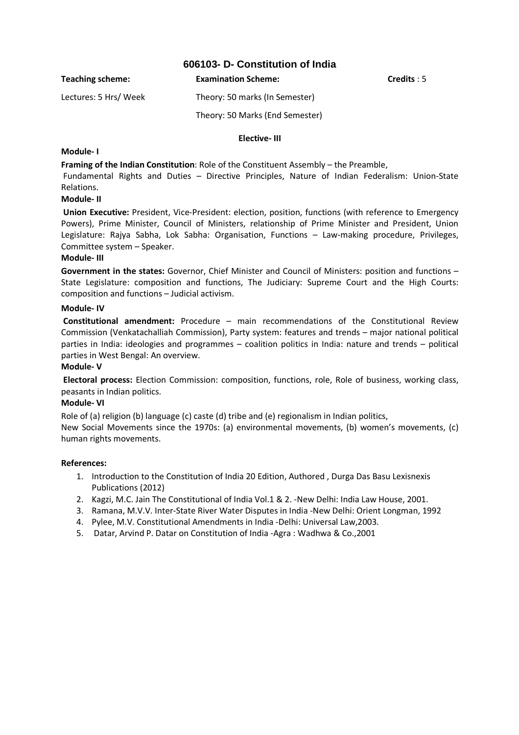# **606103- D- Constitution of India**

| Teaching scheme:      | <b>Examination Scheme:</b>      | Credits : $5$ |
|-----------------------|---------------------------------|---------------|
| Lectures: 5 Hrs/ Week | Theory: 50 marks (In Semester)  |               |
|                       | Theory: 50 Marks (End Semester) |               |

## **Elective- III**

## **Module- I**

**Framing of the Indian Constitution**: Role of the Constituent Assembly – the Preamble,

 Fundamental Rights and Duties – Directive Principles, Nature of Indian Federalism: Union-State Relations.

# **Module- II**

**Union Executive:** President, Vice-President: election, position, functions (with reference to Emergency Powers), Prime Minister, Council of Ministers, relationship of Prime Minister and President, Union Legislature: Rajya Sabha, Lok Sabha: Organisation, Functions – Law-making procedure, Privileges, Committee system – Speaker.

## **Module- III**

**Government in the states:** Governor, Chief Minister and Council of Ministers: position and functions – State Legislature: composition and functions, The Judiciary: Supreme Court and the High Courts: composition and functions – Judicial activism.

## **Module- IV**

**Constitutional amendment:** Procedure – main recommendations of the Constitutional Review Commission (Venkatachalliah Commission), Party system: features and trends – major national political parties in India: ideologies and programmes – coalition politics in India: nature and trends – political parties in West Bengal: An overview.

## **Module- V**

**Electoral process:** Election Commission: composition, functions, role, Role of business, working class, peasants in Indian politics.

# **Module- VI**

Role of (a) religion (b) language (c) caste (d) tribe and (e) regionalism in Indian politics,

New Social Movements since the 1970s: (a) environmental movements, (b) women's movements, (c) human rights movements.

- 1. Introduction to the Constitution of India 20 Edition, Authored , Durga Das Basu Lexisnexis Publications (2012)
- 2. Kagzi, M.C. Jain The Constitutional of India Vol.1 & 2. -New Delhi: India Law House, 2001.
- 3. Ramana, M.V.V. Inter-State River Water Disputes in India -New Delhi: Orient Longman, 1992
- 4. Pylee, M.V. Constitutional Amendments in India -Delhi: Universal Law,2003.
- 5. Datar, Arvind P. Datar on Constitution of India -Agra : Wadhwa & Co.,2001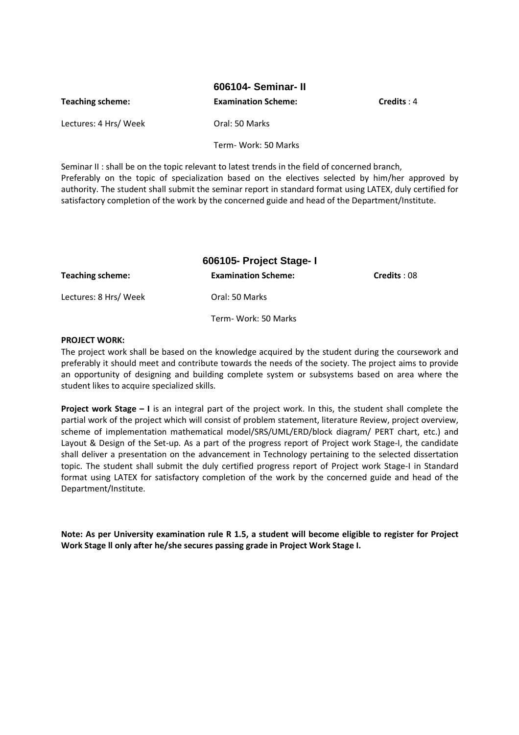# **606104- Seminar- II**

| <b>Teaching scheme:</b> | <b>Examination Scheme:</b> | Credits: $4$ |
|-------------------------|----------------------------|--------------|
| Lectures: 4 Hrs/ Week   | Oral: 50 Marks             |              |
|                         | Term- Work: 50 Marks       |              |

Seminar II : shall be on the topic relevant to latest trends in the field of concerned branch, Preferably on the topic of specialization based on the electives selected by him/her approved by authority. The student shall submit the seminar report in standard format using LATEX, duly certified for satisfactory completion of the work by the concerned guide and head of the Department/Institute.

| 606105- Project Stage- I |                            |            |  |
|--------------------------|----------------------------|------------|--|
| <b>Teaching scheme:</b>  | <b>Examination Scheme:</b> | Credits:08 |  |
| Lectures: 8 Hrs/ Week    | Oral: 50 Marks             |            |  |
|                          | Term- Work: 50 Marks       |            |  |

## **PROJECT WORK:**

The project work shall be based on the knowledge acquired by the student during the coursework and preferably it should meet and contribute towards the needs of the society. The project aims to provide an opportunity of designing and building complete system or subsystems based on area where the student likes to acquire specialized skills.

**Project work Stage – I** is an integral part of the project work. In this, the student shall complete the partial work of the project which will consist of problem statement, literature Review, project overview, scheme of implementation mathematical model/SRS/UML/ERD/block diagram/ PERT chart, etc.) and Layout & Design of the Set-up. As a part of the progress report of Project work Stage-I, the candidate shall deliver a presentation on the advancement in Technology pertaining to the selected dissertation topic. The student shall submit the duly certified progress report of Project work Stage-I in Standard format using LATEX for satisfactory completion of the work by the concerned guide and head of the Department/Institute.

**Note: As per University examination rule R 1.5, a student will become eligible to register for Project Work Stage ll only after he/she secures passing grade in Project Work Stage I.**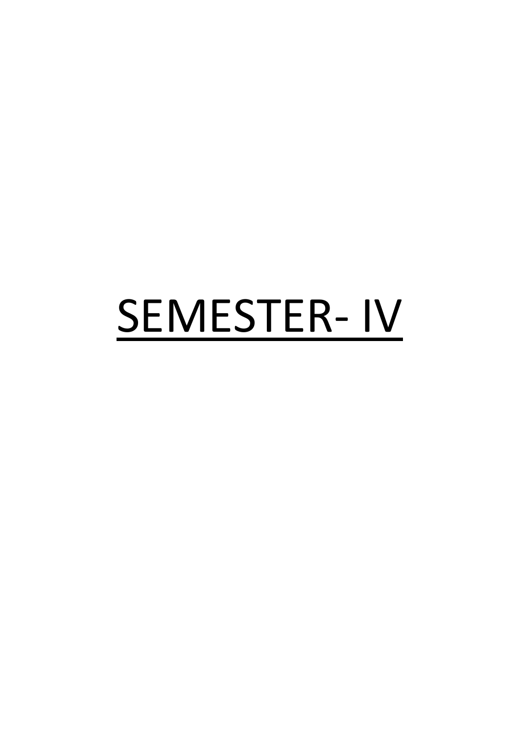# SEMESTER- IV